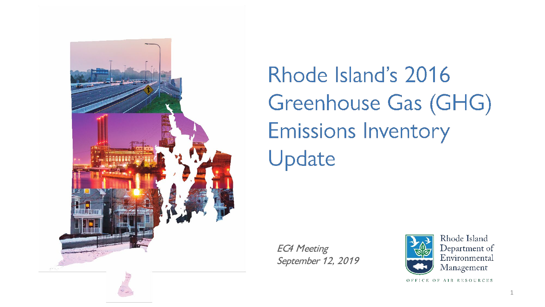

Rhode Island's 2016 Greenhouse Gas (GHG) **Emissions Inventory** Update

EC4 Meeting September 12, 2019



Rhode Island Department of Environmental Management

OFFICE OF AIR RESOURCES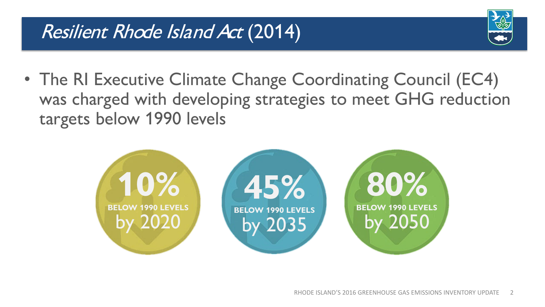

• The RI Executive Climate Change Coordinating Council (EC4) was charged with developing strategies to meet GHG reduction targets below 1990 levels

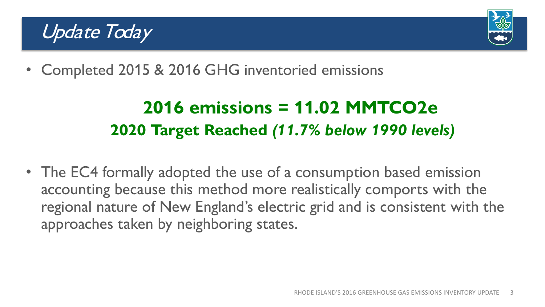### Update Today



• Completed 2015 & 2016 GHG inventoried emissions

## **2016 emissions = 11.02 MMTCO2e 2020 Target Reached** *(11.7% below 1990 levels)*

• The EC4 formally adopted the use of a consumption based emission accounting because this method more realistically comports with the regional nature of New England's electric grid and is consistent with the approaches taken by neighboring states.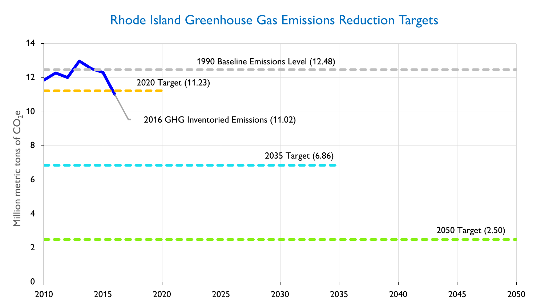#### Rhode Island Greenhouse Gas Emissions Reduction Targets

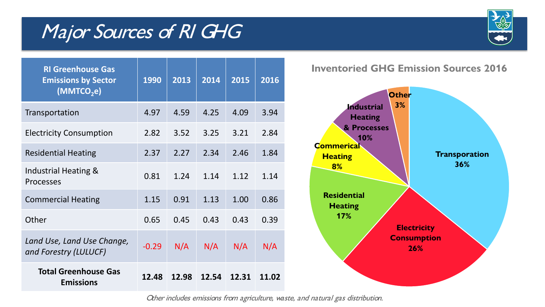### Major Sources of RI GHG



| <b>RI</b> Greenhouse Gas<br><b>Emissions by Sector</b><br>(MMTCO <sub>2</sub> e) | 1990    | 2013  | 2014  | 2015  | 2016  |
|----------------------------------------------------------------------------------|---------|-------|-------|-------|-------|
| Transportation                                                                   | 4.97    | 4.59  | 4.25  | 4.09  | 3.94  |
| <b>Electricity Consumption</b>                                                   | 2.82    | 3.52  | 3.25  | 3.21  | 2.84  |
| <b>Residential Heating</b>                                                       | 2.37    | 2.27  | 2.34  | 2.46  | 1.84  |
| Industrial Heating &<br><b>Processes</b>                                         | 0.81    | 1.24  | 1.14  | 1.12  | 1.14  |
| <b>Commercial Heating</b>                                                        | 1.15    | 0.91  | 1.13  | 1.00  | 0.86  |
| Other                                                                            | 0.65    | 0.45  | 0.43  | 0.43  | 0.39  |
| Land Use, Land Use Change,<br>and Forestry (LULUCF)                              | $-0.29$ | N/A   | N/A   | N/A   | N/A   |
| <b>Total Greenhouse Gas</b><br><b>Emissions</b>                                  | 12.48   | 12.98 | 12.54 | 12.31 | 11.02 |

**Inventoried GHG Emission Sources 2016**



Other includes emissions from agriculture, waste, and natural gas distribution.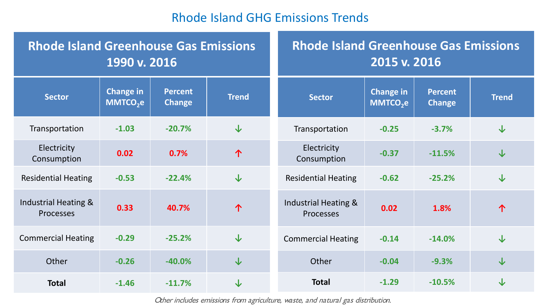#### Rhode Island GHG Emissions Trends

| <b>Rhode Island Greenhouse Gas Emissions</b><br>1990 v. 2016 |                                          | <b>Rhode Island Greenhouse Gas Emissions</b><br>2015 v. 2016 |              |                                                     |                                          |                                 |              |
|--------------------------------------------------------------|------------------------------------------|--------------------------------------------------------------|--------------|-----------------------------------------------------|------------------------------------------|---------------------------------|--------------|
| <b>Sector</b>                                                | <b>Change in</b><br>MMTCO <sub>2</sub> e | <b>Percent</b><br><b>Change</b>                              | <b>Trend</b> | <b>Sector</b>                                       | <b>Change in</b><br>MMTCO <sub>2</sub> e | <b>Percent</b><br><b>Change</b> | <b>Trend</b> |
| Transportation                                               | $-1.03$                                  | $-20.7%$                                                     | $\downarrow$ | Transportation                                      | $-0.25$                                  | $-3.7%$                         | $\downarrow$ |
| Electricity<br>Consumption                                   | 0.02                                     | 0.7%                                                         | 个            | Electricity<br>Consumption                          | $-0.37$                                  | $-11.5%$                        | $\downarrow$ |
| <b>Residential Heating</b>                                   | $-0.53$                                  | $-22.4%$                                                     | $\downarrow$ | <b>Residential Heating</b>                          | $-0.62$                                  | $-25.2%$                        | $\downarrow$ |
| Industrial Heating &<br><b>Processes</b>                     | 0.33                                     | 40.7%                                                        | 个            | <b>Industrial Heating &amp;</b><br><b>Processes</b> | 0.02                                     | 1.8%                            | 个            |
| <b>Commercial Heating</b>                                    | $-0.29$                                  | $-25.2%$                                                     | $\downarrow$ | <b>Commercial Heating</b>                           | $-0.14$                                  | $-14.0%$                        | $\downarrow$ |
| Other                                                        | $-0.26$                                  | $-40.0%$                                                     | $\downarrow$ | Other                                               | $-0.04$                                  | $-9.3%$                         | $\downarrow$ |
| <b>Total</b>                                                 | $-1.46$                                  | $-11.7%$                                                     | $\downarrow$ | <b>Total</b>                                        | $-1.29$                                  | $-10.5%$                        | $\downarrow$ |

Other includes emissions from agriculture, waste, and natural gas distribution.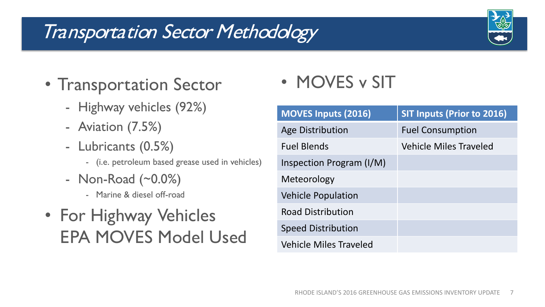## Transportation Sector Methodology



- Transportation Sector
	- Highway vehicles (92%)
	- Aviation (7.5%)
	- Lubricants (0.5%)
		- (i.e. petroleum based grease used in vehicles)
	- Non-Road (~0.0%)
		- Marine & diesel off-road
- For Highway Vehicles EPA MOVES Model Used

• MOVES v SIT

| <b>MOVES Inputs (2016)</b>    | <b>SIT Inputs (Prior to 2016)</b> |
|-------------------------------|-----------------------------------|
| Age Distribution              | <b>Fuel Consumption</b>           |
| <b>Fuel Blends</b>            | <b>Vehicle Miles Traveled</b>     |
| Inspection Program (I/M)      |                                   |
| Meteorology                   |                                   |
| <b>Vehicle Population</b>     |                                   |
| <b>Road Distribution</b>      |                                   |
| <b>Speed Distribution</b>     |                                   |
| <b>Vehicle Miles Traveled</b> |                                   |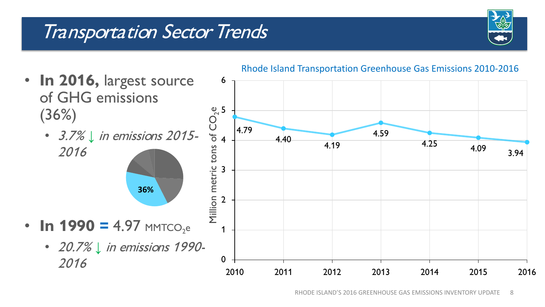### Transportation Sector Trends



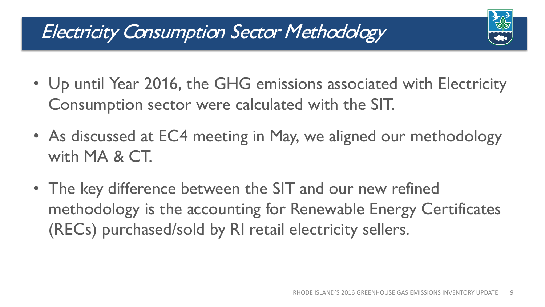### Electricity Consumption Sector Methodology

- Up until Year 2016, the GHG emissions associated with Electricity Consumption sector were calculated with the SIT.
- As discussed at EC4 meeting in May, we aligned our methodology with MA & CT.
- The key difference between the SIT and our new refined methodology is the accounting for Renewable Energy Certificates (RECs) purchased/sold by RI retail electricity sellers.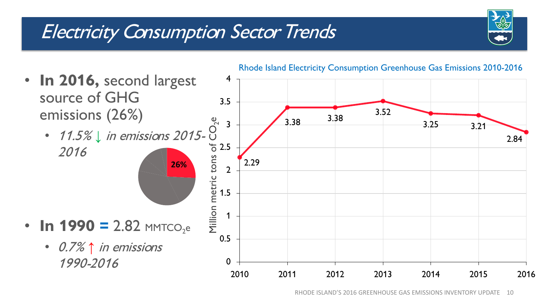## Electricity Consumption Sector Trends



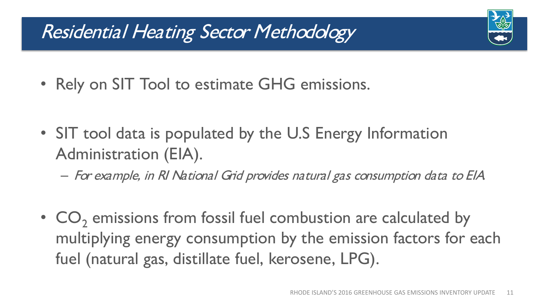## Residential Heating Sector Methodology

- Rely on SIT Tool to estimate GHG emissions.
- SIT tool data is populated by the U.S Energy Information Administration (EIA).
	- For example, in RI National Grid provides natural gas consumption data to EIA.
- CO<sub>2</sub> emissions from fossil fuel combustion are calculated by multiplying energy consumption by the emission factors for each fuel (natural gas, distillate fuel, kerosene, LPG).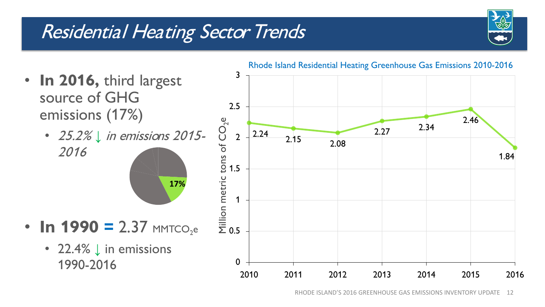# Residential Heating Sector Trends



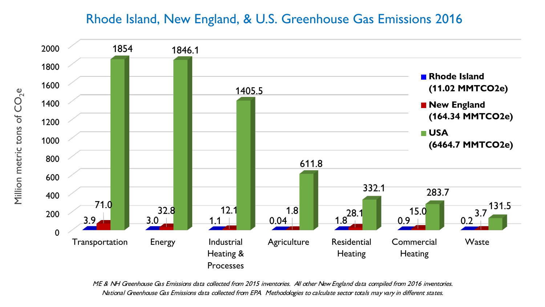#### Rhode Island, New England, & U.S. Greenhouse Gas Emissions 2016



ME & NH Greenhouse Gas Emissions data collected from 2015 inventories. All other New England data compiled from 2016 inventories. National Greenhouse Gas Emissions data collected from EPA. Methodologies to calculate sector totals may vary in different states.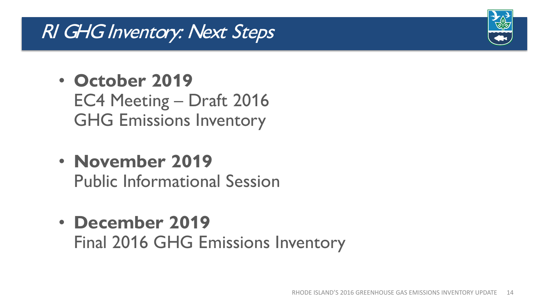### RI GHG Inventory: Next Steps

- **October 2019** EC4 Meeting – Draft 2016 GHG Emissions Inventory
- **November 2019** Public Informational Session
- **December 2019** Final 2016 GHG Emissions Inventory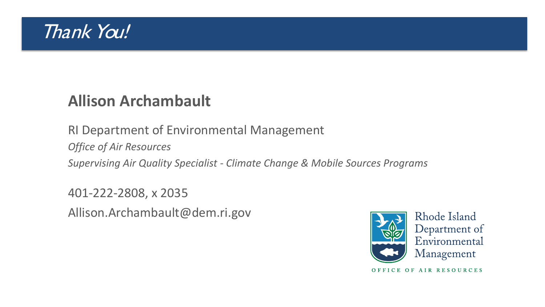

### **Allison Archambault**

RI Department of Environmental Management

*Office of Air Resources*

*Supervising Air Quality Specialist - Climate Change & Mobile Sources Programs*

401-222-2808, x 2035 Allison.Archambault@dem.ri.gov



Rhode Island Department of Environmental Management

OFFICE OF AIR RESOURCES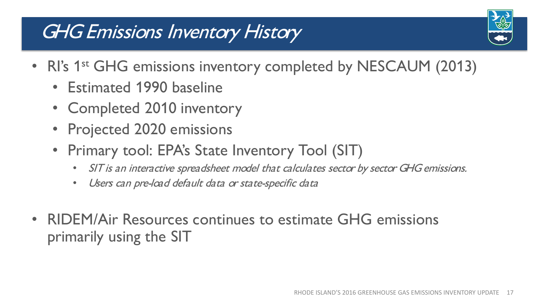# GHG Emissions Inventory History



- RI's 1<sup>st</sup> GHG emissions inventory completed by NESCAUM (2013)
	- Estimated 1990 baseline
	- Completed 2010 inventory
	- Projected 2020 emissions
	- Primary tool: EPA's State Inventory Tool (SIT)
		- SIT is an interactive spreadsheet model that calculates sector by sector GHG emissions.
		- Users can pre-load default data or state-specific data
- RIDEM/Air Resources continues to estimate GHG emissions primarily using the SIT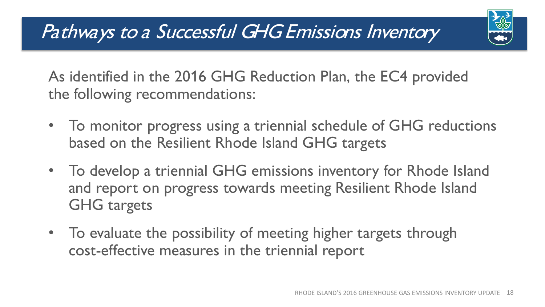

As identified in the 2016 GHG Reduction Plan, the EC4 provided the following recommendations:

- To monitor progress using a triennial schedule of GHG reductions based on the Resilient Rhode Island GHG targets
- To develop a triennial GHG emissions inventory for Rhode Island and report on progress towards meeting Resilient Rhode Island GHG targets
- To evaluate the possibility of meeting higher targets through cost-effective measures in the triennial report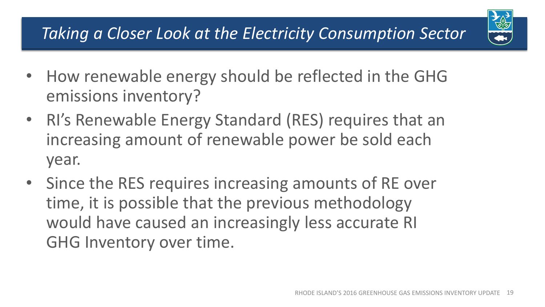### *Taking a Closer Look at the Electricity Consumption Sector*

- How renewable energy should be reflected in the GHG emissions inventory?
- RI's Renewable Energy Standard (RES) requires that an increasing amount of renewable power be sold each year.
- Since the RES requires increasing amounts of RE over time, it is possible that the previous methodology would have caused an increasingly less accurate RI GHG Inventory over time.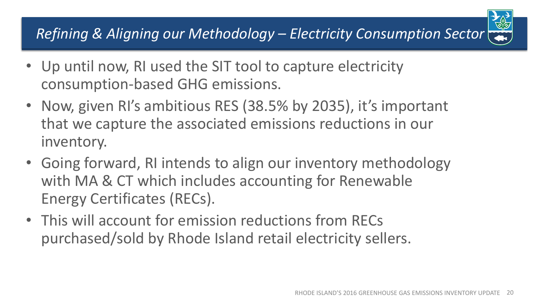### *Refining & Aligning our Methodology – Electricity Consumption Sector*

- Up until now, RI used the SIT tool to capture electricity consumption-based GHG emissions.
- Now, given RI's ambitious RES (38.5% by 2035), it's important that we capture the associated emissions reductions in our inventory.
- Going forward, RI intends to align our inventory methodology with MA & CT which includes accounting for Renewable Energy Certificates (RECs).
- This will account for emission reductions from RECs purchased/sold by Rhode Island retail electricity sellers.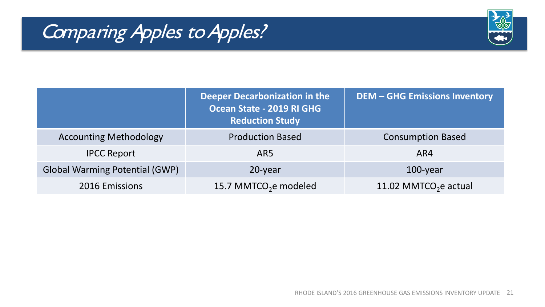# Comparing Apples to Apples?



|                                       | Deeper Decarbonization in the<br>Ocean State - 2019 RI GHG<br><b>Reduction Study</b> | <b>DEM - GHG Emissions Inventory</b> |
|---------------------------------------|--------------------------------------------------------------------------------------|--------------------------------------|
| <b>Accounting Methodology</b>         | <b>Production Based</b>                                                              | <b>Consumption Based</b>             |
| <b>IPCC Report</b>                    | AR5                                                                                  | AR4                                  |
| <b>Global Warming Potential (GWP)</b> | 20-year                                                                              | $100$ -year                          |
| 2016 Emissions                        | 15.7 MMTCO <sub>2</sub> e modeled                                                    | 11.02 MMTCO <sub>2</sub> e actual    |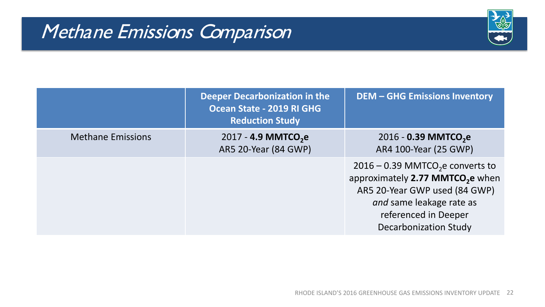## Methane Emissions Comparison



|                          | <b>Deeper Decarbonization in the</b><br>Ocean State - 2019 RI GHG<br><b>Reduction Study</b> | <b>DEM - GHG Emissions Inventory</b>                                                                                                                                                                                |
|--------------------------|---------------------------------------------------------------------------------------------|---------------------------------------------------------------------------------------------------------------------------------------------------------------------------------------------------------------------|
| <b>Methane Emissions</b> | 2017 - 4.9 MMTCO <sub>2</sub> e<br>AR5 20-Year (84 GWP)                                     | 2016 - 0.39 MMTCO <sub>2</sub> e<br>AR4 100-Year (25 GWP)                                                                                                                                                           |
|                          |                                                                                             | $2016 - 0.39$ MMTCO <sub>2</sub> e converts to<br>approximately 2.77 MMTCO <sub>2</sub> e when<br>AR5 20-Year GWP used (84 GWP)<br>and same leakage rate as<br>referenced in Deeper<br><b>Decarbonization Study</b> |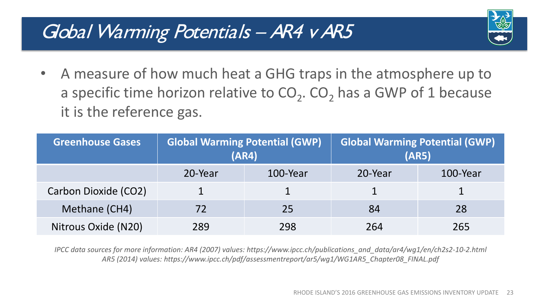### Global Warming Potentials - AR4 v AR5



• A measure of how much heat a GHG traps in the atmosphere up to a specific time horizon relative to  $CO<sub>2</sub>$ . CO<sub>2</sub> has a GWP of 1 because it is the reference gas.

| <b>Greenhouse Gases</b> | <b>Global Warming Potential (GWP)</b><br>(AR4) |          |         | <b>Global Warming Potential (GWP)</b><br>(AR5) |
|-------------------------|------------------------------------------------|----------|---------|------------------------------------------------|
|                         | 20-Year                                        | 100-Year | 20-Year | 100-Year                                       |
| Carbon Dioxide (CO2)    |                                                |          |         |                                                |
| Methane (CH4)           | 72                                             | 25       | 84      | 28                                             |
| Nitrous Oxide (N20)     | 289                                            | 298      | 264     | 265                                            |

*IPCC data sources for more information: AR4 (2007) values: https://www.ipcc.ch/publications\_and\_data/ar4/wg1/en/ch2s2-10-2.html AR5 (2014) values: https://www.ipcc.ch/pdf/assessmentreport/ar5/wg1/WG1AR5\_Chapter08\_FINAL.pdf*